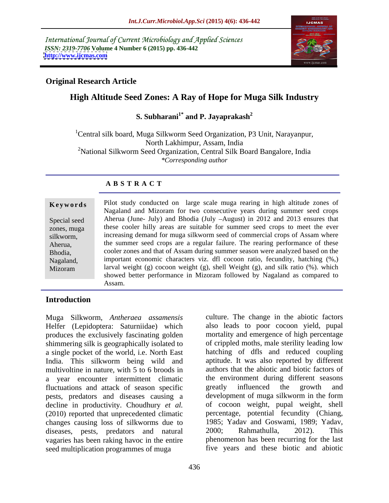International Journal of Current Microbiology and Applied Sciences *ISSN: 2319-7706* **Volume 4 Number 6 (2015) pp. 436-442 <http://www.ijcmas.com>**



## **Original Research Article**

# **High Altitude Seed Zones: A Ray of Hope for Muga Silk Industry**

# **S. Subharani1\* and P. Jayaprakash<sup>2</sup>**

<sup>1</sup>Central silk board, Muga Silkworm Seed Organization, P3 Unit, Narayanpur, North Lakhimpur, Assam, India <sup>2</sup>National Silkworm Seed Organization, Central Silk Board Bangalore, India *\*Corresponding author* 

### **A B S T R A C T**

Mizoram

**Keywords** Pilot study conducted on large scale muga rearing in high altitude zones of Nagaland and Mizoram for two consecutive years during summer seed crops Special seed Aherua (June- July) and Bhodia (July -August) in 2012 and 2013 ensures that these cooler hilly areas are suitable for summer seed crops to meet the ever zones, muga silkworm, increasing demand for muga silkworm seed of commercial crops of Assam where the summer seed crops are a regular failure. The rearing performance of these Aherua, cooler zones and that of Assam during summer season were analyzed based on the Bhodia, important economic characters viz. dfl cocoon ratio, fecundity, hatching (%,) Nagaland, larval weight (g) cocoon weight (g), shell Weight (g), and silk ratio  $(\%)$ . which showed better performance in Mizoram followed by Nagaland as compared to Assam.

### **Introduction**

Muga Silkworm, *Antheraea assamensis* Helfer (Lepidoptera: Saturniidae) which produces the exclusively fascinating golden shimmering silk is geographically isolated to a single pocket of the world, i.e. North East India. This silkworm being wild and multivoltine in nature, with 5 to 6 broods in a year encounter intermittent climatic the environment during diffuctuations and attack of season specific greatly influenced the fluctuations and attack of season specific greatly influenced the growth and pests, predators and diseases causing a decline in productivity. Choudhury *et al.* (2010) reported that unprecedented climatic changes causing loss of silkworms due to 1985; Yadav and Goswami, 1989; Yadav, diseases nests predators and natural 2000: Rahmathulla. 2012). This diseases, pests, predators and natural vagaries has been raking havoc in the entire seed multiplication programmes of muga

culture. The change in the abiotic factors also leads to poor cocoon yield, pupal mortality and emergence of high percentage of crippled moths, male sterility leading low hatching of dfls and reduced coupling aptitude. It was also reported by different authors that the abiotic and biotic factors of the environment during different seasons greatly influenced the growth and development of muga silkworm in the form of cocoon weight, pupal weight, shell percentage, potential fecundity (Chiang, 1985; Yadav and Goswami, 1989; Yadav, 2000; Rahmathulla, 2012). This phenomenon has been recurring for the last five years and these biotic and abiotic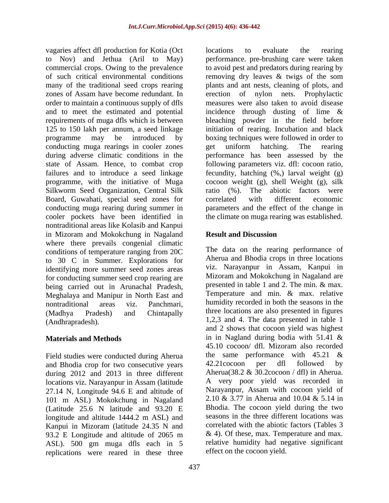vagaries affect dfl production for Kotia (Oct zones of Assam have become redundant. In conducting muga rearings in cooler zones entirely equal to the conducting muga rearing cooler zones equation of the cooler zones equation of the cooler zones equation of the cooler zones equation of the cooler zones equati Silkworm Seed Organization, Central Silk ratio (%). Board, Guwahati, special seed zones for conducting muga rearing during summer in cooler pockets have been identified in the climate on muga rearing was established. nontraditional areas like Kolasib and Kanpui in Mizoram and Mokokchung in Nagaland **Result and Discussion** where there prevails congenial climatic conditions of temperature ranging from 20C to 30 C in Summer. Explorations for identifying more summer seed zones areas for conducting summer seed crop rearing are<br>heing carried out in Arunachal Bradesh presented in table 1 and 2. The min. & max. being carried out in Arunachal Pradesh, Meghalaya and Manipur in North East and nontraditional areas viz. Panchmari, humidity recorded in both the seasons in the (Madhya Pradesh) and Chintapally three locations are also presented in figures

Field studies were conducted during Aherua<br>and Bhodia crop for two consecutive years 42.21 cocoon per dfl followed by and Bhodia crop for two consecutive years during 2012 and 2013 in three different locations viz. Narayanpur in Assam (latitude 27.14 N, Longitude 94.6 E and altitude of 101 m ASL) Mokokchung in Nagaland (Latitude 25.6 N latitude and 93.20 E longitude and altitude 1444.2 m ASL) and Kanpui in Mizoram (latitude 24.35 N and 93.2 E Longitude and altitude of 2065 m ASL). 500 gm muga dfls each in 5 replications were reared in these three

to Nov) and Jethua (Aril to May) performance. pre-brushing care were taken commercial crops. Owing to the prevalence to avoid pest and predators during rearing by of such critical environmental conditions removing dry leaves & twigs of the som many of the traditional seed crops rearing plants and ant nests, cleaning of plots, and order to maintain a continuous supply of dfls measures were also taken to avoid disease and to meet the estimated and potential incidence through dusting of lime & requirements of muga dfls which is between bleaching powder in the field before 125 to 150 lakh per annum, a seed linkage initiation of rearing. Incubation and black programme may be introduced by boxing techniques were followed in order to during adverse climatic conditions in the performance has been assessed by the state of Assam. Hence, to combat crop following parameters viz. dfl: cocoon ratio, failures and to introduce a seed linkage fecundity, hatching (%,) larval weight (g) programme, with the initiative of Muga cocoon weight (g), shell Weight (g), silk locations to evaluate the rearing erection of nylon nets. get uniform hatching. The rearing The abiotic factors were correlated with different economic parameters and the effect of the change in

## **Result and Discussion**

(Andhrapradesh). 1,2,3 and 4. The data presented in table 1 **Materials and Methods** in in Nagland during bodia with 51.41 & The data on the rearing performance of Aherua and Bhodia crops in three locations viz. Narayanpur in Assam, Kanpui in Mizoram and Mokokchung in Nagaland are presented in table 1 and 2. The min. & max. Temperature and min. & max. relative and 2 shows that cocoon yield was highest 45.10 cocoon/ dfl. Mizoram also recorded the same performance with  $45.21 \&$ 42.21cocoon per dfl followed by Aherua(38.2 & 30.2cocoon / dfl) in Aherua. A very poor yield was recorded in Narayanpur, Assam with cocoon yield of 2.10 & 3.77 in Aherua and 10.04 & 5.14 in Bhodia. The cocoon yield during the two seasons in the three different locations was correlated with the abiotic factors (Tables 3  $& 4$ ). Of these, max. Temperature and max. relative humidity had negative significant effect on the cocoon yield.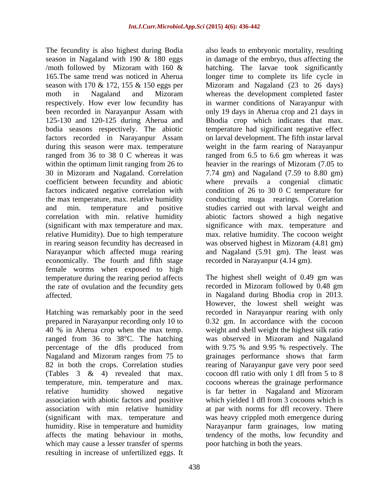The fecundity is also highest during Bodia also leads to embryonic mortality, resulting factors recorded in Narayanpur Assam in rearing season fecundity has decreased in economically. The fourth and fifth stage female worms when exposed to high temperature during the rearing period affects the rate of ovulation and the fecundity gets

Hatching was remarkably poor in the seed ranged from 36 to 38°C. The hatching which may cause a lesser transfer of sperms resulting in increase of unfertilized eggs. It

season in Nagaland with 190 & 180 eggs in damage of the embryo, thus affecting the /moth followed by Mizoram with 160 & hatching. The larvae took significantly 165.The same trend was noticed in Aherua longer time to complete its life cycle in season with 170 & 172, 155 & 150 eggs per Mizoram and Nagaland (23 to 26 days) moth in Nagaland and Mizoram whereas the development completed faster respectively. How ever low fecundity has in warmer conditions of Narayanpur with been recorded in Narayanpur Assam with only 19 days in Aherua crop and 21 days in 125-130 and 120-125 during Aherua and Bhodia crop which indicates that max. bodia seasons respectively. The abiotic temperature had significant negative effect during this season were max. temperature weight in the farm rearing of Narayanpur ranged from 36 to 38 0 C whereas it was ranged from 6.5 to 6.6 gm whereas it was within the optimum limit ranging from 26 to heavier in the rearings of Mizoram (7.05 to 30 in Mizoram and Nagaland. Correlation 7.74 gm) and Nagaland (7.59 to 8.80 gm) coefficient between fecundity and abiotic where prevails a congenial climatic factors indicated negative correlation with condition of 26 to 30 0 C temperature for the max temperature, max. relative humidity conducting muga rearings. Correlation and min. temperature and positive studies carried out with larval weight and correlation with min. relative humidity abiotic factors showed a high negative (significant with max temperature and max. significance with max. temperature and relative Humidity). Due to high temperature max. relative humidity. The cocoon weight Narayanpur which affected muga rearing and Nagaland (5.91 gm). The least was on larval development. The fifth instar larval was observed highest in Mizoram (4.81 gm) recorded in Narayanpur (4.14 gm).

affected. in Nagaland during Bhodia crop in 2013. prepared in Narayanpur recording only 10 to 0.32 gm. In accordance with the cocoon 40 % in Aherua crop when the max temp. weight and shell weight the highest silk ratio percentage of the dfls produced from with 9.75 % and 9.95 % respectively. The Nagaland and Mizoram ranges from 75 to grainages performance shows that farm 82 in both the crops. Correlation studies rearing of Narayanpur gave very poor seed (Tables 3 & 4) revealed that max. cocoon dfl ratio with only 1 dfl from 5 to 8 temperature, min. temperature and max. cocoons whereas the grainage performance relative humidity showed negative is far better in Nagaland and Mizoram association with abiotic factors and positive which yielded 1 dfl from 3 cocoons which is association with min relative humidity at par with norms for dfl recovery. There (significant with max. temperature and was heavy crippled moth emergence during humidity. Rise in temperature and humidity Narayanpur farm grainages, low mating affects the mating behaviour in moths, tendency of the moths, low fecundity and The highest shell weight of 0.49 gm was recorded in Mizoram followed by 0.48 gm However, the lowest shell weight was recorded in Narayanpur rearing with only was observed in Mizoram and Nagaland poor hatching in both the years.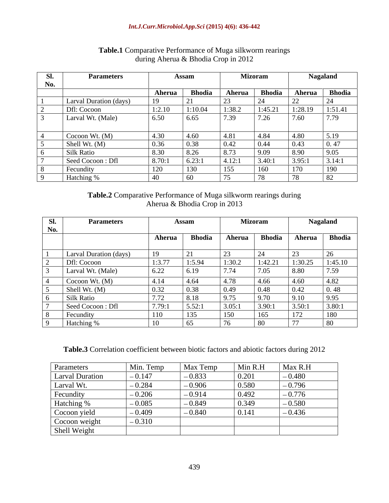### *Int.J.Curr.Microbiol.App.Sci* **(2015) 4(6): 436-442**

| -SI -        | <b>Parameters</b>      |                         | <b>Assam</b>               |        | <b>Mizoram</b>       |             | <b>Nagaland</b> |
|--------------|------------------------|-------------------------|----------------------------|--------|----------------------|-------------|-----------------|
| No.<br>1 I V |                        |                         |                            |        |                      |             |                 |
|              |                        | Aherua                  | <b>Bhodia</b>              | Aherua | <b>Bhodia</b>        | Aherua      | <b>Bhodia</b>   |
|              | Larval Duration (days) |                         | $\bigcap$ 1<br>$\sqrt{21}$ |        |                      | $\sqrt{22}$ | $\sqrt{4}$      |
|              | <b>Dfl:</b> Cocoon     | 1:2.10                  | 1:10.04                    | :38.2  | 1:45.21              | 1:28.19     | 1:51.41         |
|              | Larval Wt. (Male)      | 6.50                    | 6.65                       | 7.39   | $\sim$ $\sim$<br>.∠O | '.ou        | $\sqrt{2}$      |
|              |                        |                         |                            |        |                      |             |                 |
|              | Cocoon Wt. (M)         | 4.30                    | 4.60                       |        | 4.84                 |             | $\sim$ 10       |
|              | Shell Wt. (M)          | 0.36                    | 0.38                       | 0.42   | v. <del>44</del>     | 0.43        | 0.47            |
|              | Silk Ratio             | 8.30                    | 8.26                       | 8. IS  | 9.09                 |             | 9.05            |
|              | Seed Cocoon: Dfl       | 8.70:1                  | 6.23:1                     | 4.12:1 | 3.40:1               | 3.95:1      | 3.14:1          |
|              | Fecundity              | $\perp$ $\angle$ $\cup$ | 130                        | 1.2.2  | 160                  | 17 U        | 190             |
|              | <b>Hatching</b>        | -40                     | - 60                       |        |                      |             | ാറ              |

### **Table.1** Comparative Performance of Muga silkworm rearings during Aherua & Bhodia Crop in 2012

**Table.2** Comparative Performance of Muga silkworm rearings during Aherua & Bhodia Crop in 2013

| Sl.        | <b>Parameters</b>      |              | Assam                          |                                                | Mizoram                           |                | <b>Nagaland</b> |
|------------|------------------------|--------------|--------------------------------|------------------------------------------------|-----------------------------------|----------------|-----------------|
| <b>No.</b> |                        |              |                                |                                                |                                   |                |                 |
|            |                        | Aherua       | <b>Bhodia</b>                  | Aherua                                         | Bhodia                            | Aherua         | <b>Bhodia</b>   |
|            |                        |              |                                |                                                |                                   |                |                 |
|            | Larval Duration (days) | 10           | $\mathcal{D}$ 1<br>$\sqrt{21}$ |                                                | $\bigcap$                         |                |                 |
|            | Dfl: Cocoon            | 1:3.77       |                                |                                                | 10.21                             | :30.25         | 1:45.10         |
|            |                        |              |                                | $\mathbf{1} \cdot \mathbf{1} \cdot \mathbf{1}$ | 1:42.21<br>$\tau$ $\alpha$ $\tau$ |                |                 |
|            | Larval Wt. (Male)      | 6.22         | 6.19                           | 7.74                                           | 1.03                              | 8.80           | 7.59            |
|            | Cocoon Wt. (M)         | 4.14         | $\vert 4.64 \vert$             | 4.78                                           | 4.66                              | 4.60           | 4.82            |
|            | Shell Wt. (M)          | 0.32         |                                | 0.49                                           | 0.48                              | $0.4^{\circ}$  | 0.48            |
|            | Silk Ratio             | 7.72         | $\sqrt{8.18}$                  | 9.75                                           | 9.70                              | 9.10           | 9.95            |
|            | Seed Cocoon : Dfl      | 7.79:1       | 5.52:1                         | 3.05:1                                         | 3.90:1                            | 3.50:1         | 3.80:           |
|            | Fecundity              |              | 135                            | 150                                            | 165                               | 172            | 180             |
|            | Hatching               | $1^{\Omega}$ | $\epsilon$                     | $\sim$                                         |                                   | $\overline{a}$ | 80              |

**Table.3** Correlation coefficient between biotic factors and abiotic factors during 2012

| Parameters             | Min. Temp | Max Temp | Min R.H | Max R.H  |
|------------------------|-----------|----------|---------|----------|
| <b>Larval Duration</b> | $-0.147$  | $-0.833$ | 0.201   | $-0.480$ |
| Larval Wt.             | $-0.284$  | $-0.906$ | 0.580   | $-0.796$ |
| Fecundity              | $-0.206$  | $-0.914$ | 0.492   | $-0.776$ |
| Hatching %             | $-0.085$  | $-0.849$ | 0.349   | $-0.580$ |
| Cocoon yield           | $-0.409$  | $-0.840$ | 0.141   | $-0.436$ |
| Cocoon weight          | $-0.310$  |          |         |          |
| Shell Weight           |           |          |         |          |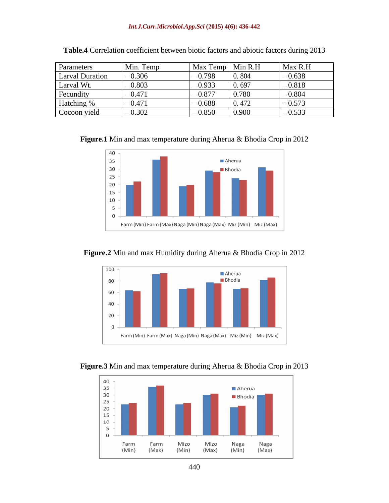### *Int.J.Curr.Microbiol.App.Sci* **(2015) 4(6): 436-442**

| Parameters             | Min. Temp   |                   | $\vert$ Max Temp $\vert$ Min R.H | Max R.H  |
|------------------------|-------------|-------------------|----------------------------------|----------|
| <b>Larval Duration</b> | 0.306       | $-0.798$          | 0.804                            | $-0.638$ |
| Larval Wt.             | $-0.803$    | റ റാറ<br>$-0.933$ | 0.697                            | $-0.818$ |
| Fecundity              | $-0.4/1$    | 0.077<br>$-0.8$ . | 0.780                            | $-0.804$ |
| Hatching %             | $1 - 0.471$ | $-0.688$          | 0.472                            | $-0.573$ |
| Cocoon yield           | $-0.302$    | $-0.850$          | 0.900                            | $-0.533$ |

| Table.4 Correlation coefficient between biotic factors and abiotic factors during 2013 |  |  |
|----------------------------------------------------------------------------------------|--|--|
|----------------------------------------------------------------------------------------|--|--|

**Figure.1** Min and max temperature during Aherua & Bhodia Crop in 2012



**Figure.2** Min and max Humidity during Aherua & Bhodia Crop in 2012



**Figure.3** Min and max temperature during Aherua & Bhodia Crop in 2013

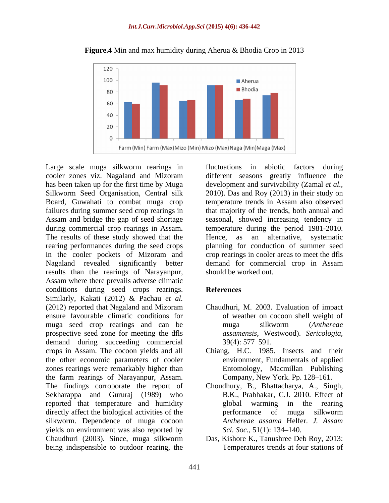

**Figure.4** Min and max humidity during Aherua & Bhodia Crop in 2013

Large scale muga silkworm rearings in fluctuations in abiotic factors during cooler zones viz. Nagaland and Mizoram different seasons greatly influence the has been taken up for the first time by Muga development and survivability (Zamal *et al.,* Silkworm Seed Organisation, Central silk 2010). Das and Roy (2013) in their study on Board, Guwahati to combat muga crop temperature trends in Assam also observed failures during summer seed crop rearings in that majority of the trends, both annual and Assam and bridge the gap of seed shortage seasonal, showed increasing tendency in during commercial crop rearings in Assam**.** temperature during the period 1981-2010. The results of these study showed that the Hence, as an alternative, systematic rearing performances during the seed crops planning for conduction of summer seed in the cooler pockets of Mizoram and crop rearings in cooler areas to meet the dfls Nagaland revealed significantly better demand for commercial crop in Assam results than the rearings of Narayanpur, Assam where there prevails adverse climatic conditions during seed crops rearings. Similarly, Kakati (2012) & Pachau *et al.* (2012) reported that Nagaland and Mizoram Chaudhuri, M. 2003. Evaluation of impact ensure favourable climatic conditions for muga seed crop rearings and can be muga silkworm (Anthereae prospective seed zone for meeting the dfls demand during succeeding commercial 39(4): 577–591. crops in Assam. The cocoon yields and all Chiang, H.C. 1985. Insects and their the other economic parameters of cooler zones rearings were remarkably higher than the farm rearings of Narayanpur, Assam. The findings corroborate the report of Choudhury, B., Bhattacharya, A., Singh, Sekharappa and Gururaj (1989) who reported that temperature and humidity directly affect the biological activities of the performance of muga silkworm silkworm. Dependence of muga cocoon Anthereae assama Helfer. J. Assam yields on environment was also reported by  $\frac{c}{i}$  Sci. Soc., 51(1): 134–140. Chaudhuri (2003). Since, muga silkworm Das, Kishore K., Tanushree Deb Roy, 2013: being indispensible to outdoor rearing, the

fluctuations in abiotic factors during should be worked out.

### **References**

- of weather on cocoon shell weight of muga silkworm (*Anthereae assamensis*, Westwood). *Sericologia,* 39(4): 577 591.
- environment, Fundamentals of applied Entomology, Macmillan Publishing Company, New York. Pp. 128-161.
- B.K., Prabhakar, C.J. 2010. Effect of warming in the rearing performance of muga silkworm *Anthereae assama* Helfer. *J. Assam Sci. Soc.,* 51(1): 134–140.
- Temperatures trends at four stations of